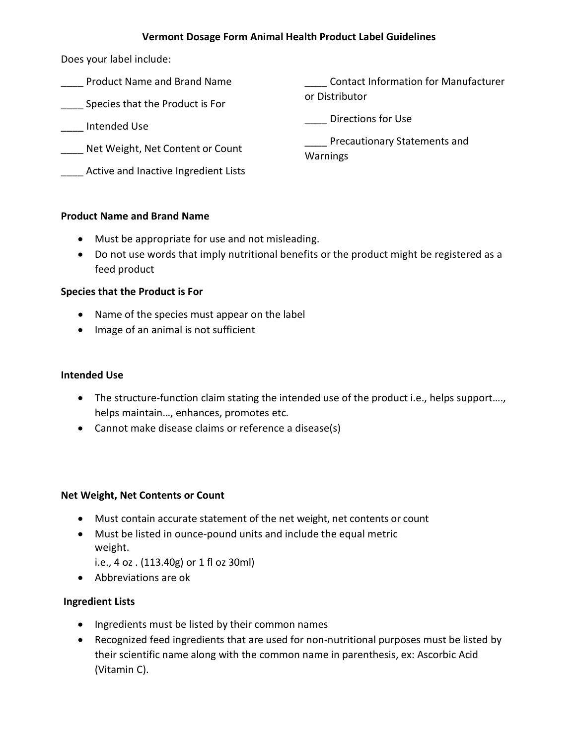## **Vermont Dosage Form Animal Health Product Label Guidelines**

Does your label include:

- \_\_\_\_ Product Name and Brand Name
- **Species that the Product is For**
- \_\_\_\_ Intended Use
- \_\_\_\_ Net Weight, Net Content or Count
- **LETT** Active and Inactive Ingredient Lists

\_\_\_\_ Contact Information for Manufacturer or Distributor

\_\_\_\_ Directions for Use

\_\_\_\_ Precautionary Statements and Warnings

# **Product Name and Brand Name**

- Must be appropriate for use and not misleading.
- Do not use words that imply nutritional benefits or the product might be registered as a feed product

# **Species that the Product is For**

- Name of the species must appear on the label
- Image of an animal is not sufficient

# **Intended Use**

- The structure-function claim stating the intended use of the product i.e., helps support…., helps maintain…, enhances, promotes etc.
- Cannot make disease claims or reference a disease(s)

### **Net Weight, Net Contents or Count**

- Must contain accurate statement of the net weight, net contents or count
- Must be listed in ounce-pound units and include the equal metric weight.
	- i.e., 4 oz . (113.40g) or 1 fl oz 30ml)
- Abbreviations are ok

# **Ingredient Lists**

- Ingredients must be listed by their common names
- Recognized feed ingredients that are used for non-nutritional purposes must be listed by their scientific name along with the common name in parenthesis, ex: Ascorbic Acid (Vitamin C).